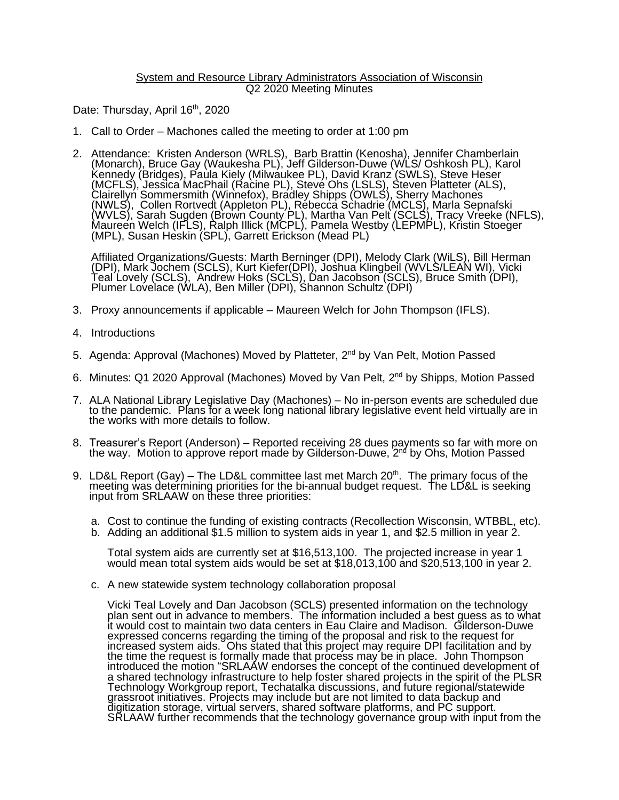## System and Resource Library Administrators Association of Wisconsin Q2 2020 Meeting Minutes

Date: Thursday, April 16<sup>th</sup>, 2020

- 1. Call to Order Machones called the meeting to order at 1:00 pm
- 2. Attendance: Kristen Anderson (WRLS), Barb Brattin (Kenosha), Jennifer Chamberlain (Monarch), Bruce Gay (Waukesha PL), Jeff Gilderson-Duwe (WLS/ Oshkosh PL), Karol Kennedy (Bridges), Paula Kiely (Milwaukee PL), David Kranz (SWLS), Steve Heser (MCFLS), Jessica MacPhail (Racine PL), Steve Ohs (LSLS), Steven Platteter (ALS), Clairellyn Sommersmith (Winnefox), Bradley Shipps (OWLS), Sherry Machones (NWLS), Collen Rortvedt (Appleton PL), Rebecca Schadrie (MCLS), Marla Sepnafski (WVLS), Sarah Sugden (Brown County PL), Martha Van Pelt (SCLS), Tracy Vreeke (NFLS), Maureen Welch (IFLS), Ralph Illick (MCPL), Pamela Westby (LEPMPL), Kristin Stoeger (MPL), Susan Heskin (SPL), Garrett Erickson (Mead PL)

Affiliated Organizations/Guests: Marth Berninger (DPI), Melody Clark (WiLS), Bill Herman (DPI), Mark Jochem (SCLS), Kurt Kiefer(DPI), Joshua Klingbeil (WVLS/LEAN WI), Vicki Teal Lovely (SCLS), Andrew Hoks (SCLS), Dan Jacobson (SCLS), Bruce Smith (DPI), Plumer Lovelace (WLA), Ben Miller (DPI), Shannon Schultz (DPI)

- 3. Proxy announcements if applicable Maureen Welch for John Thompson (IFLS).
- 4. Introductions
- 5. Agenda: Approval (Machones) Moved by Platteter, 2<sup>nd</sup> by Van Pelt, Motion Passed
- 6. Minutes: Q1 2020 Approval (Machones) Moved by Van Pelt, 2<sup>nd</sup> by Shipps, Motion Passed
- 7. ALA National Library Legislative Day (Machones) No in-person events are scheduled due to the pandemic. Plans for a week long national library legislative event held virtually are in the works with more details to follow.
- 8. Treasurer's Report (Anderson) Reported receiving 28 dues payments so far with more on the way. Motion to approve report made by Gilderson-Duwe, 2<sup>nd</sup> by Ohs, Motion Passed
- 9. LD&L Report (Gay) The LD&L committee last met March 20<sup>th</sup>. The primary focus of the meeting was determining priorities for the bi-annual budget request. The LD&L is seeking input from SRLAAW on these three priorities:
	- a. Cost to continue the funding of existing contracts (Recollection Wisconsin, WTBBL, etc).
	- b. Adding an additional \$1.5 million to system aids in year 1, and \$2.5 million in year 2.

Total system aids are currently set at \$16,513,100. The projected increase in year 1 would mean total system aids would be set at \$18,013,100 and \$20,513,100 in year 2.

c. A new statewide system technology collaboration proposal

Vicki Teal Lovely and Dan Jacobson (SCLS) presented information on the technology plan sent out in advance to members. The information included a best guess as to what it would cost to maintain two data centers in Eau Claire and Madison. Gilderson-Duwe expressed concerns regarding the timing of the proposal and risk to the request for increased system aids. Ohs stated that this project may require DPI facilitation and by the time the request is formally made that process may be in place. John Thompson introduced the motion "SRLAAW endorses the concept of the continued development of a shared technology infrastructure to help foster shared projects in the spirit of the PLSR Technology Workgroup report, Techatalka discussions, and future regional/statewide grassroot initiatives. Projects may include but are not limited to data backup and digitization storage, virtual servers, shared software platforms, and PC support. SRLAAW further recommends that the technology governance group with input from the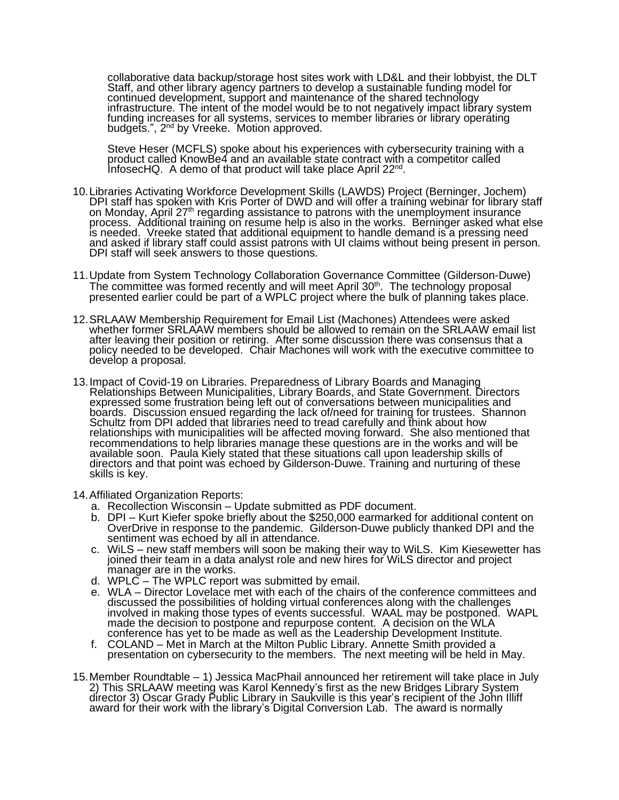collaborative data backup/storage host sites work with LD&L and their lobbyist, the DLT Staff, and other library agency partners to develop a sustainable funding model for continued development, support and maintenance of the shared technology infrastructure. The intent of the model would be to not negatively impact library system funding increases for all systems, services to member libraries or library operating budgets.", 2<sup>nd</sup> by Vreeke. Motion approved.

Steve Heser (MCFLS) spoke about his experiences with cybersecurity training with a product called KnowBe4 and an available state contract with a competitor called InfosecHQ. A demo of that product will take place April 22<sup>nd</sup>.

- 10.Libraries Activating Workforce Development Skills (LAWDS) Project (Berninger, Jochem) DPI staff has spoken with Kris Porter of DWD and will offer a training webinar for library staff on Monday, April 27<sup>th</sup> regarding assistance to patrons with the unemployment insurance process. Additional training on resume help is also in the works. Berninger asked what else is needed. Vreeke stated that additional equipment to handle demand is a pressing need and asked if library staff could assist patrons with UI claims without being present in person. DPI staff will seek answers to those questions.
- 11.Update from System Technology Collaboration Governance Committee (Gilderson-Duwe) The committee was formed recently and will meet April 30<sup>th</sup>. The technology proposal presented earlier could be part of a WPLC project where the bulk of planning takes place.
- 12.SRLAAW Membership Requirement for Email List (Machones) Attendees were asked whether former SRLAAW members should be allowed to remain on the SRLAAW email list after leaving their position or retiring. After some discussion there was consensus that a policy needed to be developed. Chair Machones will work with the executive committee to develop a proposal.
- 13.Impact of Covid-19 on Libraries. Preparedness of Library Boards and Managing Relationships Between Municipalities, Library Boards, and State Government. Directors expressed some frustration being left out of conversations between municipalities and boards. Discussion ensued regarding the lack of/need for training for trustees. Shannon Schultz from DPI added that libraries need to tread carefully and think about how relationships with municipalities will be affected moving forward. She also mentioned that recommendations to help libraries manage these questions are in the works and will be available soon. Paula Kiely stated that these situations call upon leadership skills of directors and that point was echoed by Gilderson-Duwe. Training and nurturing of these skills is key.
- 14.Affiliated Organization Reports:
	- a. Recollection Wisconsin Update submitted as PDF document.
	- b. DPI Kurt Kiefer spoke briefly about the \$250,000 earmarked for additional content on OverDrive in response to the pandemic. Gilderson-Duwe publicly thanked DPI and the sentiment was echoed by all in attendance.
	- c. WiLS new staff members will soon be making their way to WiLS. Kim Kiesewetter has joined their team in a data analyst role and new hires for WiLS director and project manager are in the works.
	- d. WPLC The WPLC report was submitted by email.
	- e. WLA Director Lovelace met with each of the chairs of the conference committees and discussed the possibilities of holding virtual conferences along with the challenges involved in making those types of events successful. WAAL may be postponed. WAPL made the decision to postpone and repurpose content. A decision on the WLA conference has yet to be made as well as the Leadership Development Institute.
	- f. COLAND Met in March at the Milton Public Library. Annette Smith provided a presentation on cybersecurity to the members. The next meeting will be held in May.
- 15.Member Roundtable 1) Jessica MacPhail announced her retirement will take place in July 2) This SRLAAW meeting was Karol Kennedy's first as the new Bridges Library System director 3) Oscar Grady Public Library in Saukville is this year's recipient of the John Illiff award for their work with the library's Digital Conversion Lab. The award is normally